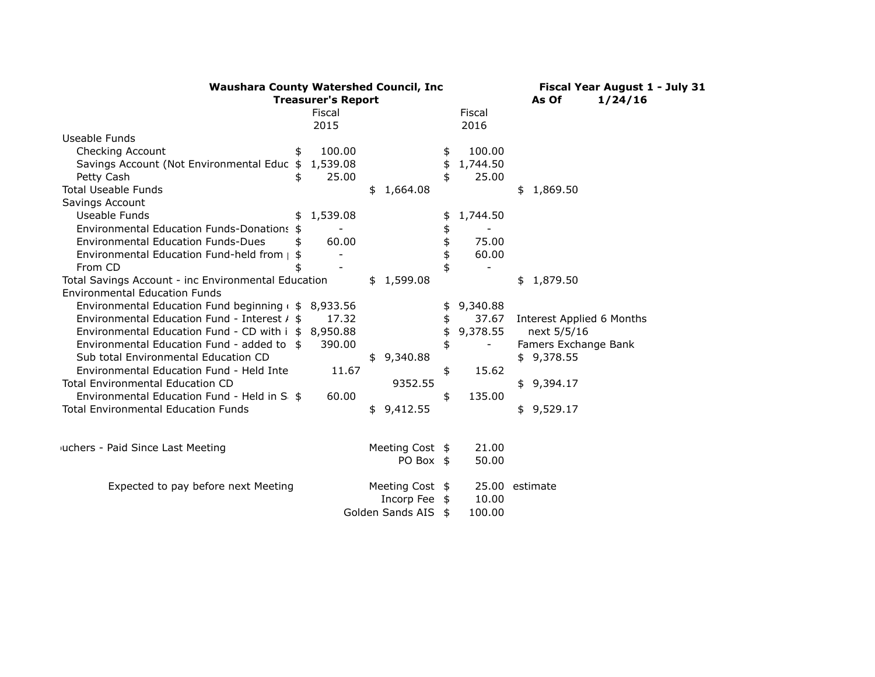| <b>Waushara County Watershed Council, Inc.</b>         | Fiscal Year August 1 - July 31 |                  |                |                           |
|--------------------------------------------------------|--------------------------------|------------------|----------------|---------------------------|
| <b>Treasurer's Report</b>                              | As Of<br>1/24/16               |                  |                |                           |
|                                                        | Fiscal                         |                  | Fiscal         |                           |
|                                                        | 2015                           |                  | 2016           |                           |
| Useable Funds                                          |                                |                  |                |                           |
| Checking Account                                       | 100.00                         |                  | \$<br>100.00   |                           |
| Savings Account (Not Environmental Educ \$             | 1,539.08                       |                  | \$<br>1,744.50 |                           |
| Petty Cash                                             | 25.00                          |                  | 25.00          |                           |
| <b>Total Useable Funds</b>                             |                                | \$1,664.08       |                | \$1,869.50                |
| Savings Account                                        |                                |                  |                |                           |
| Useable Funds                                          | 1,539.08                       |                  | 1,744.50       |                           |
| <b>Environmental Education Funds-Donations</b>         |                                |                  |                |                           |
| <b>Environmental Education Funds-Dues</b>              | 60.00                          |                  | 75.00          |                           |
| Environmental Education Fund-held from $\vert$         |                                |                  | 60.00          |                           |
| From CD                                                |                                |                  |                |                           |
| Total Savings Account - inc Environmental Education    |                                | \$1,599.08       |                | \$1,879.50                |
| <b>Environmental Education Funds</b>                   |                                |                  |                |                           |
| Environmental Education Fund beginning $($ \$ 8,933.56 |                                |                  | \$<br>9,340.88 |                           |
| Environmental Education Fund - Interest $/$ \$         | 17.32                          |                  | \$<br>37.67    | Interest Applied 6 Months |
| Environmental Education Fund - CD with i \$ 8,950.88   |                                |                  | \$<br>9,378.55 | next 5/5/16               |
| Environmental Education Fund - added to \$             | 390.00                         |                  | \$             | Famers Exchange Bank      |
| Sub total Environmental Education CD                   |                                | \$9,340.88       |                | \$9,378.55                |
| Environmental Education Fund - Held Inte               | 11.67                          |                  | \$<br>15.62    |                           |
| <b>Total Environmental Education CD</b>                |                                | 9352.55          |                | \$9,394.17                |
| Environmental Education Fund - Held in S: \$           | 60.00                          |                  | \$<br>135.00   |                           |
| <b>Total Environmental Education Funds</b>             |                                | \$<br>9,412.55   |                | \$9,529.17                |
|                                                        |                                |                  |                |                           |
|                                                        |                                |                  |                |                           |
| iuchers - Paid Since Last Meeting                      |                                | Meeting Cost \$  | 21.00          |                           |
|                                                        |                                | PO Box \$        | 50.00          |                           |
|                                                        |                                |                  |                |                           |
| Expected to pay before next Meeting                    |                                | Meeting Cost \$  |                | 25.00 estimate            |
|                                                        |                                | Incorp Fee \$    | 10.00          |                           |
|                                                        |                                | Golden Sands AIS | \$<br>100.00   |                           |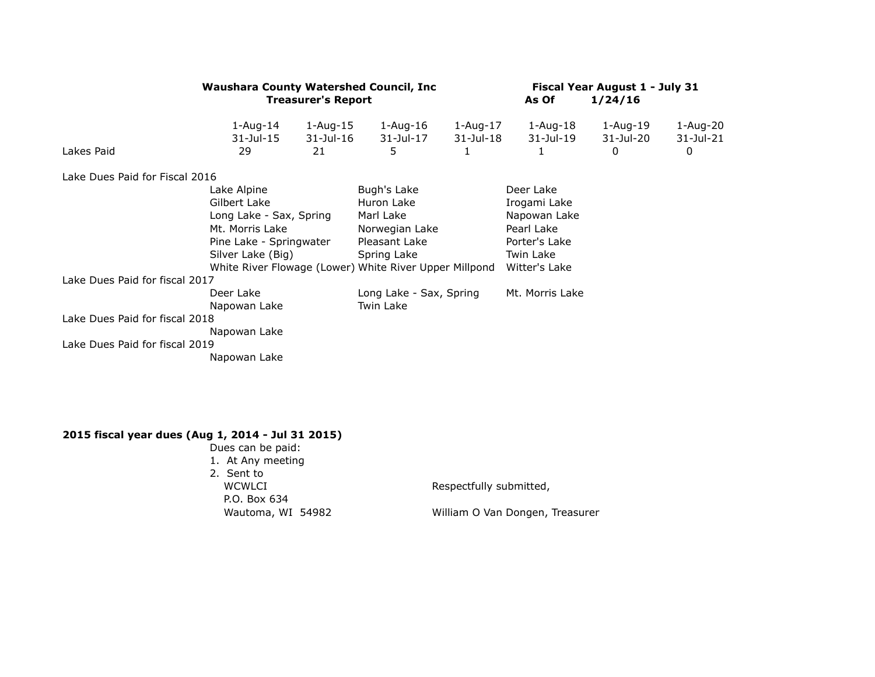|                                | <b>Waushara County Watershed Council, Inc.</b> |                                 | Fiscal Year August 1 - July 31                         |                          |                       |                            |                               |
|--------------------------------|------------------------------------------------|---------------------------------|--------------------------------------------------------|--------------------------|-----------------------|----------------------------|-------------------------------|
|                                |                                                | <b>Treasurer's Report</b>       |                                                        | As Of                    | 1/24/16               |                            |                               |
| Lakes Paid                     | $1 - Aug-14$<br>31-Jul-15<br>29                | $1 - Aug-15$<br>31-Jul-16<br>21 | 1-Aug-16<br>31-Jul-17<br>5                             | 1-Aug-17<br>$31$ -Jul-18 | 1-Aug-18<br>31-Jul-19 | 1-Aug-19<br>31-Jul-20<br>0 | 1-Aug-20<br>$31$ -Jul-21<br>0 |
| Lake Dues Paid for Fiscal 2016 |                                                |                                 |                                                        |                          |                       |                            |                               |
|                                | Lake Alpine<br>Gilbert Lake                    |                                 | Bugh's Lake                                            |                          | Deer Lake             |                            |                               |
|                                |                                                |                                 | Huron Lake                                             |                          | Irogami Lake          |                            |                               |
|                                | Long Lake - Sax, Spring                        |                                 | Marl Lake                                              |                          | Napowan Lake          |                            |                               |
|                                | Mt. Morris Lake<br>Pine Lake - Springwater     |                                 | Norwegian Lake                                         |                          | Pearl Lake            |                            |                               |
|                                |                                                |                                 | Pleasant Lake                                          |                          | Porter's Lake         |                            |                               |
|                                | Silver Lake (Big)                              |                                 | Spring Lake                                            |                          | Twin Lake             |                            |                               |
|                                |                                                |                                 | White River Flowage (Lower) White River Upper Millpond |                          | Witter's Lake         |                            |                               |
| Lake Dues Paid for fiscal 2017 |                                                |                                 |                                                        |                          |                       |                            |                               |
|                                | Deer Lake                                      |                                 | Long Lake - Sax, Spring                                |                          | Mt. Morris Lake       |                            |                               |
|                                | Napowan Lake                                   |                                 | Twin Lake                                              |                          |                       |                            |                               |
| Lake Dues Paid for fiscal 2018 |                                                |                                 |                                                        |                          |                       |                            |                               |
|                                | Napowan Lake                                   |                                 |                                                        |                          |                       |                            |                               |
| Lake Dues Paid for fiscal 2019 |                                                |                                 |                                                        |                          |                       |                            |                               |
|                                | Napowan Lake                                   |                                 |                                                        |                          |                       |                            |                               |
|                                |                                                |                                 |                                                        |                          |                       |                            |                               |

## **2015 fiscal year dues (Aug 1, 2014 - Jul 31 2015)**

Dues can be paid: 1. At Any meeting 2. Sent to WCWLCI Respectfully submitted, P.O. Box 634<br>Wautoma, WI 54982

William O Van Dongen, Treasurer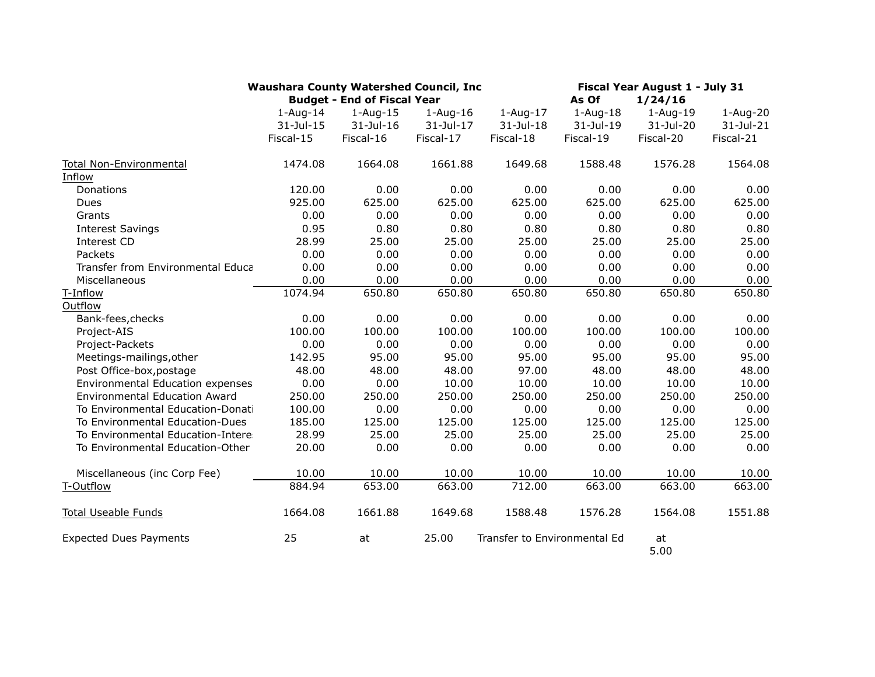|                                      | <b>Waushara County Watershed Council, Inc.</b> |                                    |            |                              | Fiscal Year August 1 - July 31 |              |              |
|--------------------------------------|------------------------------------------------|------------------------------------|------------|------------------------------|--------------------------------|--------------|--------------|
|                                      |                                                | <b>Budget - End of Fiscal Year</b> |            |                              | As Of                          | 1/24/16      |              |
|                                      | $1$ -Aug-14                                    | $1 - Aug-15$                       | $1-Aug-16$ | $1-Aug-17$                   | $1-Aug-18$                     | $1 - Aug-19$ | 1-Aug-20     |
|                                      | 31-Jul-15                                      | 31-Jul-16                          | 31-Jul-17  | 31-Jul-18                    | 31-Jul-19                      | 31-Jul-20    | $31$ -Jul-21 |
|                                      | Fiscal-15                                      | Fiscal-16                          | Fiscal-17  | Fiscal-18                    | Fiscal-19                      | Fiscal-20    | Fiscal-21    |
| Total Non-Environmental              | 1474.08                                        | 1664.08                            | 1661.88    | 1649.68                      | 1588.48                        | 1576.28      | 1564.08      |
| Inflow                               |                                                |                                    |            |                              |                                |              |              |
| Donations                            | 120.00                                         | 0.00                               | 0.00       | 0.00                         | 0.00                           | 0.00         | 0.00         |
| Dues                                 | 925.00                                         | 625.00                             | 625.00     | 625.00                       | 625.00                         | 625.00       | 625.00       |
| Grants                               | 0.00                                           | 0.00                               | 0.00       | 0.00                         | 0.00                           | 0.00         | 0.00         |
| <b>Interest Savings</b>              | 0.95                                           | 0.80                               | 0.80       | 0.80                         | 0.80                           | 0.80         | 0.80         |
| Interest CD                          | 28.99                                          | 25.00                              | 25.00      | 25.00                        | 25.00                          | 25.00        | 25.00        |
| Packets                              | 0.00                                           | 0.00                               | 0.00       | 0.00                         | 0.00                           | 0.00         | 0.00         |
| Transfer from Environmental Educa    | 0.00                                           | 0.00                               | 0.00       | 0.00                         | 0.00                           | 0.00         | 0.00         |
| Miscellaneous                        | 0.00                                           | 0.00                               | 0.00       | 0.00                         | 0.00                           | 0.00         | 0.00         |
| T-Inflow                             | 1074.94                                        | 650.80                             | 650.80     | 650.80                       | 650.80                         | 650.80       | 650.80       |
| Outflow                              |                                                |                                    |            |                              |                                |              |              |
| Bank-fees, checks                    | 0.00                                           | 0.00                               | 0.00       | 0.00                         | 0.00                           | 0.00         | 0.00         |
| Project-AIS                          | 100.00                                         | 100.00                             | 100.00     | 100.00                       | 100.00                         | 100.00       | 100.00       |
| Project-Packets                      | 0.00                                           | 0.00                               | 0.00       | 0.00                         | 0.00                           | 0.00         | 0.00         |
| Meetings-mailings, other             | 142.95                                         | 95.00                              | 95.00      | 95.00                        | 95.00                          | 95.00        | 95.00        |
| Post Office-box, postage             | 48.00                                          | 48.00                              | 48.00      | 97.00                        | 48.00                          | 48.00        | 48.00        |
| Environmental Education expenses     | 0.00                                           | 0.00                               | 10.00      | 10.00                        | 10.00                          | 10.00        | 10.00        |
| <b>Environmental Education Award</b> | 250.00                                         | 250.00                             | 250.00     | 250.00                       | 250.00                         | 250.00       | 250.00       |
| To Environmental Education-Donati    | 100.00                                         | 0.00                               | 0.00       | 0.00                         | 0.00                           | 0.00         | 0.00         |
| To Environmental Education-Dues      | 185.00                                         | 125.00                             | 125.00     | 125.00                       | 125.00                         | 125.00       | 125.00       |
| To Environmental Education-Intere    | 28.99                                          | 25.00                              | 25.00      | 25.00                        | 25.00                          | 25.00        | 25.00        |
| To Environmental Education-Other     | 20.00                                          | 0.00                               | 0.00       | 0.00                         | 0.00                           | 0.00         | 0.00         |
| Miscellaneous (inc Corp Fee)         | 10.00                                          | 10.00                              | 10.00      | 10.00                        | 10.00                          | 10.00        | 10.00        |
| T-Outflow                            | 884.94                                         | 653.00                             | 663.00     | 712.00                       | 663.00                         | 663.00       | 663.00       |
| <b>Total Useable Funds</b>           | 1664.08                                        | 1661.88                            | 1649.68    | 1588.48                      | 1576.28                        | 1564.08      | 1551.88      |
| <b>Expected Dues Payments</b>        | 25                                             | at                                 | 25.00      | Transfer to Environmental Ed |                                | at<br>5.00   |              |